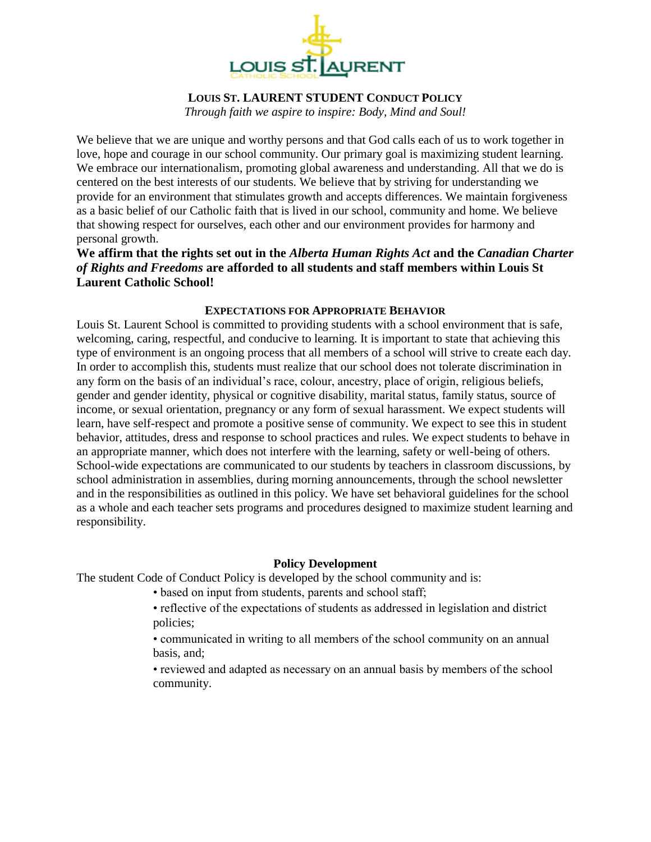

## **LOUIS ST. LAURENT STUDENT CONDUCT POLICY**

*Through faith we aspire to inspire: Body, Mind and Soul!*

We believe that we are unique and worthy persons and that God calls each of us to work together in love, hope and courage in our school community. Our primary goal is maximizing student learning. We embrace our internationalism, promoting global awareness and understanding. All that we do is centered on the best interests of our students. We believe that by striving for understanding we provide for an environment that stimulates growth and accepts differences. We maintain forgiveness as a basic belief of our Catholic faith that is lived in our school, community and home. We believe that showing respect for ourselves, each other and our environment provides for harmony and personal growth.

**We affirm that the rights set out in the** *Alberta Human Rights Act* **and the** *Canadian Charter of Rights and Freedoms* **are afforded to all students and staff members within Louis St Laurent Catholic School!**

## **EXPECTATIONS FOR APPROPRIATE BEHAVIOR**

Louis St. Laurent School is committed to providing students with a school environment that is safe, welcoming, caring, respectful, and conducive to learning. It is important to state that achieving this type of environment is an ongoing process that all members of a school will strive to create each day. In order to accomplish this, students must realize that our school does not tolerate discrimination in any form on the basis of an individual's race, colour, ancestry, place of origin, religious beliefs, gender and gender identity, physical or cognitive disability, marital status, family status, source of income, or sexual orientation, pregnancy or any form of sexual harassment. We expect students will learn, have self-respect and promote a positive sense of community. We expect to see this in student behavior, attitudes, dress and response to school practices and rules. We expect students to behave in an appropriate manner, which does not interfere with the learning, safety or well-being of others. School-wide expectations are communicated to our students by teachers in classroom discussions, by school administration in assemblies, during morning announcements, through the school newsletter and in the responsibilities as outlined in this policy. We have set behavioral guidelines for the school as a whole and each teacher sets programs and procedures designed to maximize student learning and responsibility.

# **Policy Development**

The student Code of Conduct Policy is developed by the school community and is:

- based on input from students, parents and school staff;
- reflective of the expectations of students as addressed in legislation and district policies;
- communicated in writing to all members of the school community on an annual basis, and;
- reviewed and adapted as necessary on an annual basis by members of the school community.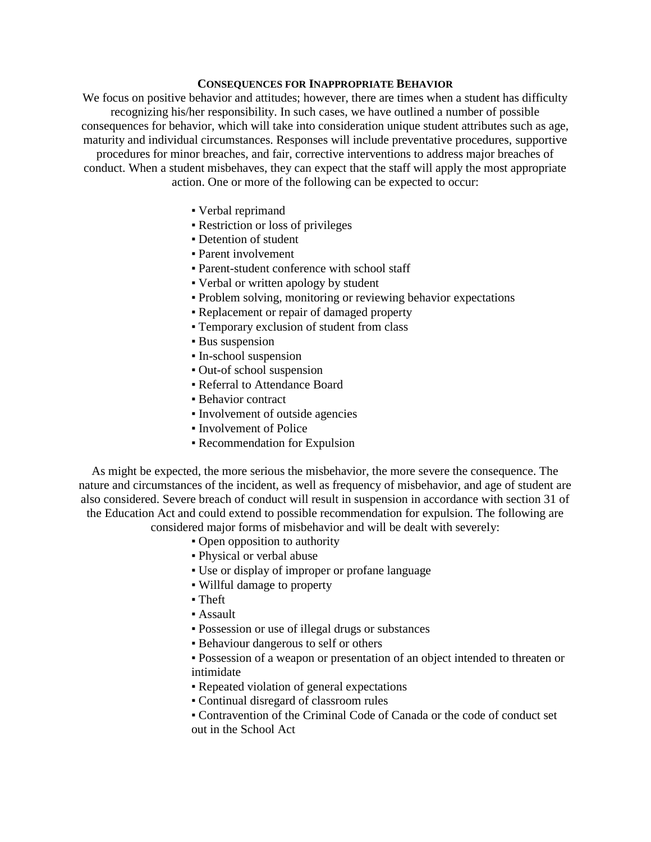#### **CONSEQUENCES FOR INAPPROPRIATE BEHAVIOR**

We focus on positive behavior and attitudes; however, there are times when a student has difficulty recognizing his/her responsibility. In such cases, we have outlined a number of possible consequences for behavior, which will take into consideration unique student attributes such as age, maturity and individual circumstances. Responses will include preventative procedures, supportive procedures for minor breaches, and fair, corrective interventions to address major breaches of conduct. When a student misbehaves, they can expect that the staff will apply the most appropriate action. One or more of the following can be expected to occur:

- Verbal reprimand
- Restriction or loss of privileges
- Detention of student
- Parent involvement
- Parent-student conference with school staff
- Verbal or written apology by student
- Problem solving, monitoring or reviewing behavior expectations
- Replacement or repair of damaged property
- Temporary exclusion of student from class
- **Bus suspension**
- In-school suspension
- Out-of school suspension
- Referral to Attendance Board
- **Behavior contract**
- Involvement of outside agencies
- Involvement of Police
- Recommendation for Expulsion

As might be expected, the more serious the misbehavior, the more severe the consequence. The nature and circumstances of the incident, as well as frequency of misbehavior, and age of student are also considered. Severe breach of conduct will result in suspension in accordance with section 31 of the Education Act and could extend to possible recommendation for expulsion. The following are

considered major forms of misbehavior and will be dealt with severely:

- Open opposition to authority
- Physical or verbal abuse
- Use or display of improper or profane language
- Willful damage to property
- Theft
- Assault
- Possession or use of illegal drugs or substances
- Behaviour dangerous to self or others
- Possession of a weapon or presentation of an object intended to threaten or intimidate
- Repeated violation of general expectations
- Continual disregard of classroom rules
- Contravention of the Criminal Code of Canada or the code of conduct set out in the School Act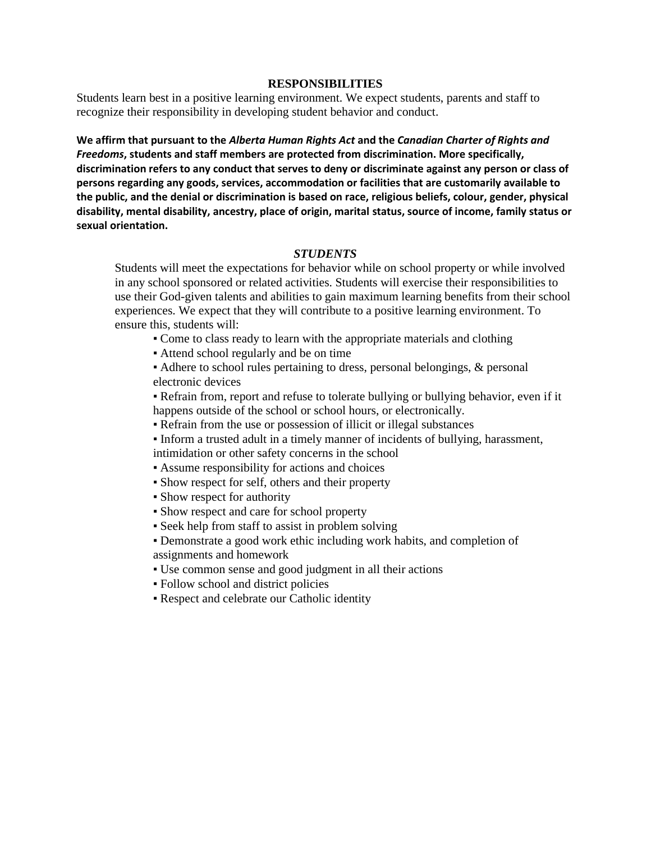#### **RESPONSIBILITIES**

Students learn best in a positive learning environment. We expect students, parents and staff to recognize their responsibility in developing student behavior and conduct.

**We affirm that pursuant to the** *Alberta Human Rights Act* **and the** *Canadian Charter of Rights and Freedoms***, students and staff members are protected from discrimination. More specifically, discrimination refers to any conduct that serves to deny or discriminate against any person or class of persons regarding any goods, services, accommodation or facilities that are customarily available to the public, and the denial or discrimination is based on race, religious beliefs, colour, gender, physical disability, mental disability, ancestry, place of origin, marital status, source of income, family status or sexual orientation.**

#### *STUDENTS*

Students will meet the expectations for behavior while on school property or while involved in any school sponsored or related activities. Students will exercise their responsibilities to use their God-given talents and abilities to gain maximum learning benefits from their school experiences. We expect that they will contribute to a positive learning environment. To ensure this, students will:

- Come to class ready to learn with the appropriate materials and clothing
- Attend school regularly and be on time

▪ Adhere to school rules pertaining to dress, personal belongings, & personal electronic devices

▪ Refrain from, report and refuse to tolerate bullying or bullying behavior, even if it happens outside of the school or school hours, or electronically.

- Refrain from the use or possession of illicit or illegal substances
- Inform a trusted adult in a timely manner of incidents of bullying, harassment, intimidation or other safety concerns in the school

▪ Assume responsibility for actions and choices

- Show respect for self, others and their property
- Show respect for authority
- Show respect and care for school property
- Seek help from staff to assist in problem solving
- Demonstrate a good work ethic including work habits, and completion of assignments and homework
- Use common sense and good judgment in all their actions
- Follow school and district policies
- Respect and celebrate our Catholic identity